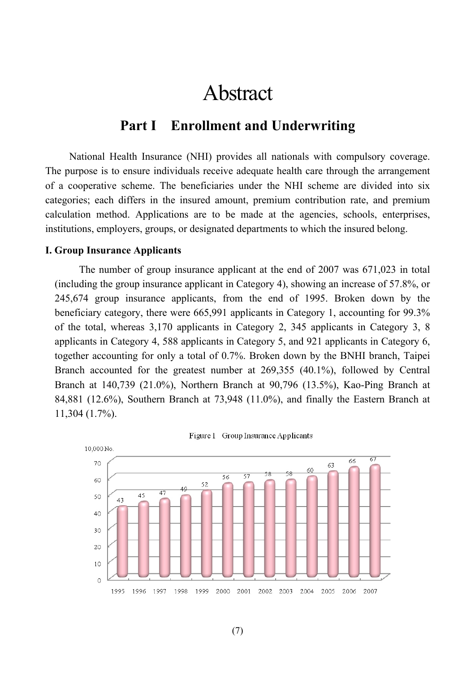# Abstract

# **Part I Enrollment and Underwriting**

National Health Insurance (NHI) provides all nationals with compulsory coverage. The purpose is to ensure individuals receive adequate health care through the arrangement of a cooperative scheme. The beneficiaries under the NHI scheme are divided into six categories; each differs in the insured amount, premium contribution rate, and premium calculation method. Applications are to be made at the agencies, schools, enterprises, institutions, employers, groups, or designated departments to which the insured belong.

# **I. Group Insurance Applicants**

The number of group insurance applicant at the end of 2007 was 671,023 in total (including the group insurance applicant in Category 4), showing an increase of 57.8%, or 245,674 group insurance applicants, from the end of 1995. Broken down by the beneficiary category, there were 665,991 applicants in Category 1, accounting for 99.3% of the total, whereas 3,170 applicants in Category 2, 345 applicants in Category 3, 8 applicants in Category 4, 588 applicants in Category 5, and 921 applicants in Category 6, together accounting for only a total of 0.7%. Broken down by the BNHI branch, Taipei Branch accounted for the greatest number at 269,355 (40.1%), followed by Central Branch at 140,739 (21.0%), Northern Branch at 90,796 (13.5%), Kao-Ping Branch at 84,881 (12.6%), Southern Branch at 73,948 (11.0%), and finally the Eastern Branch at 11,304 (1.7%).



Figure 1 Group Insurance Applicants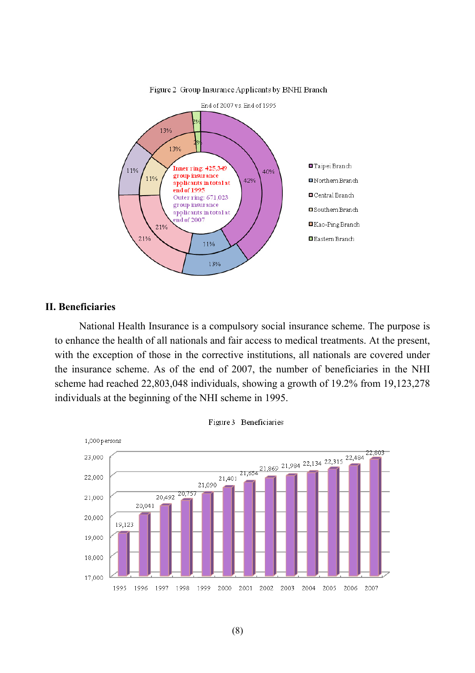

Figure 2 Group Insurance Applicants by BNHI Branch

# **II. Beneficiaries**

National Health Insurance is a compulsory social insurance scheme. The purpose is to enhance the health of all nationals and fair access to medical treatments. At the present, with the exception of those in the corrective institutions, all nationals are covered under the insurance scheme. As of the end of 2007, the number of beneficiaries in the NHI scheme had reached 22,803,048 individuals, showing a growth of 19.2% from 19,123,278 individuals at the beginning of the NHI scheme in 1995.



Figure 3 Beneficiaries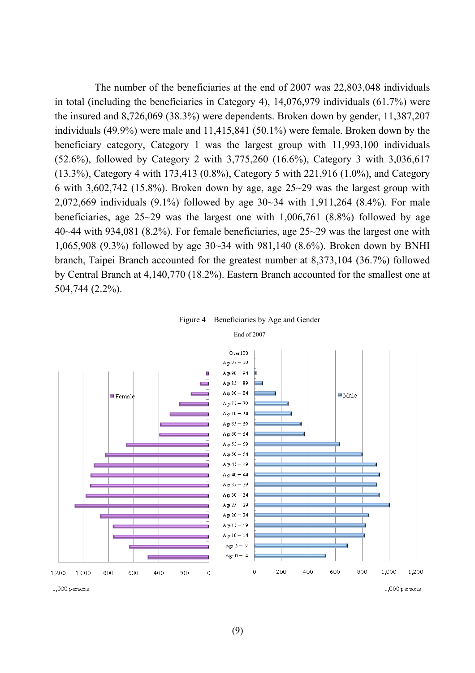The number of the beneficiaries at the end of 2007 was 22,803,048 individuals in total (including the beneficiaries in Category 4), 14,076,979 individuals (61.7%) were the insured and 8,726,069 (38.3%) were dependents. Broken down by gender, 11,387,207 individuals (49.9%) were male and 11,415,841 (50.1%) were female. Broken down by the beneficiary category, Category 1 was the largest group with 11,993,100 individuals (52.6%), followed by Category 2 with 3,775,260 (16.6%), Category 3 with 3,036,617 (13.3%), Category 4 with 173,413 (0.8%), Category 5 with 221,916 (1.0%), and Category 6 with  $3,602,742$  (15.8%). Broken down by age, age  $25~29$  was the largest group with 2,072,669 individuals (9.1%) followed by age 30~34 with 1,911,264 (8.4%). For male beneficiaries, age 25~29 was the largest one with 1,006,761 (8.8%) followed by age 40~44 with 934,081 (8.2%). For female beneficiaries, age 25~29 was the largest one with 1,065,908 (9.3%) followed by age 30~34 with 981,140 (8.6%). Broken down by BNHI branch, Taipei Branch accounted for the greatest number at 8,373,104 (36.7%) followed by Central Branch at 4,140,770 (18.2%). Eastern Branch accounted for the smallest one at 504,744 (2.2%).

#### Figure 4 Beneficiaries by Age and Gender

#### End of 2007

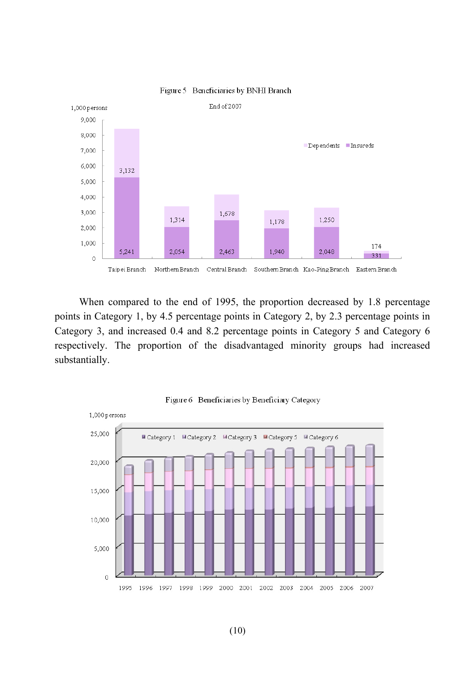

#### Figure 5 Beneficiaries by BNHI Branch

When compared to the end of 1995, the proportion decreased by 1.8 percentage points in Category 1, by 4.5 percentage points in Category 2, by 2.3 percentage points in Category 3, and increased 0.4 and 8.2 percentage points in Category 5 and Category 6 respectively. The proportion of the disadvantaged minority groups had increased substantially.



Figure 6 Beneficiaries by Beneficiary Category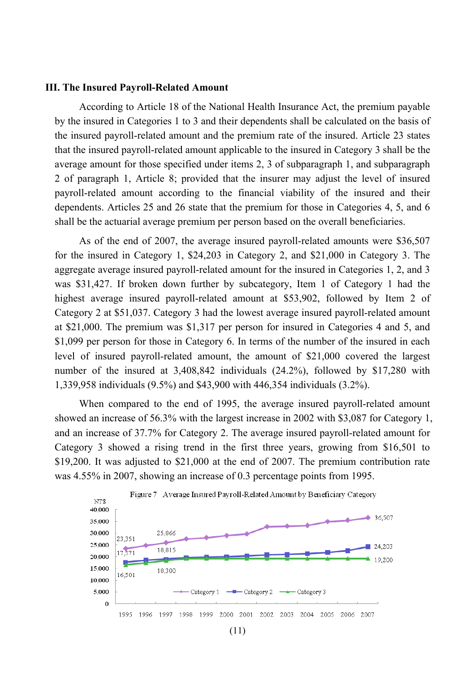### **III. The Insured Payroll-Related Amount**

According to Article 18 of the National Health Insurance Act, the premium payable by the insured in Categories 1 to 3 and their dependents shall be calculated on the basis of the insured payroll-related amount and the premium rate of the insured. Article 23 states that the insured payroll-related amount applicable to the insured in Category 3 shall be the average amount for those specified under items 2, 3 of subparagraph 1, and subparagraph 2 of paragraph 1, Article 8; provided that the insurer may adjust the level of insured payroll-related amount according to the financial viability of the insured and their dependents. Articles 25 and 26 state that the premium for those in Categories 4, 5, and 6 shall be the actuarial average premium per person based on the overall beneficiaries.

As of the end of 2007, the average insured payroll-related amounts were \$36,507 for the insured in Category 1, \$24,203 in Category 2, and \$21,000 in Category 3. The aggregate average insured payroll-related amount for the insured in Categories 1, 2, and 3 was \$31,427. If broken down further by subcategory, Item 1 of Category 1 had the highest average insured payroll-related amount at \$53,902, followed by Item 2 of Category 2 at \$51,037. Category 3 had the lowest average insured payroll-related amount at \$21,000. The premium was \$1,317 per person for insured in Categories 4 and 5, and \$1,099 per person for those in Category 6. In terms of the number of the insured in each level of insured payroll-related amount, the amount of \$21,000 covered the largest number of the insured at 3,408,842 individuals (24.2%), followed by \$17,280 with 1,339,958 individuals (9.5%) and \$43,900 with 446,354 individuals (3.2%).

When compared to the end of 1995, the average insured payroll-related amount showed an increase of 56.3% with the largest increase in 2002 with \$3,087 for Category 1, and an increase of 37.7% for Category 2. The average insured payroll-related amount for Category 3 showed a rising trend in the first three years, growing from \$16,501 to \$19,200. It was adjusted to \$21,000 at the end of 2007. The premium contribution rate was 4.55% in 2007, showing an increase of 0.3 percentage points from 1995.



(11)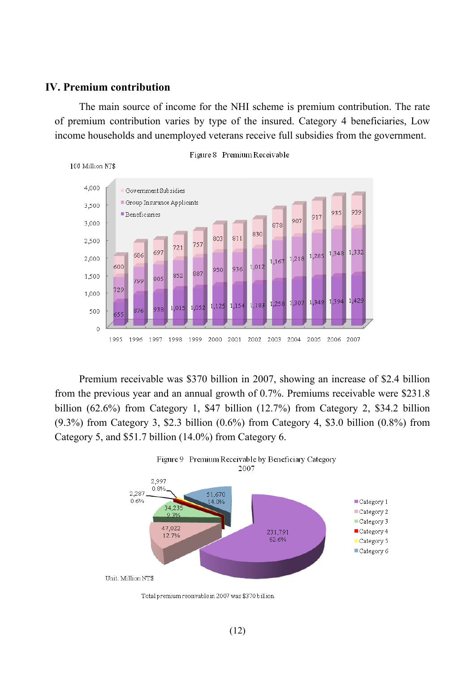# **IV. Premium contribution**

The main source of income for the NHI scheme is premium contribution. The rate of premium contribution varies by type of the insured. Category 4 beneficiaries, Low income households and unemployed veterans receive full subsidies from the government.



Premium receivable was \$370 billion in 2007, showing an increase of \$2.4 billion from the previous year and an annual growth of 0.7%. Premiums receivable were \$231.8 billion (62.6%) from Category 1, \$47 billion (12.7%) from Category 2, \$34.2 billion (9.3%) from Category 3, \$2.3 billion (0.6%) from Category 4, \$3.0 billion (0.8%) from Category 5, and \$51.7 billion (14.0%) from Category 6.



Total premium receivable in 2007 was \$370 billion.